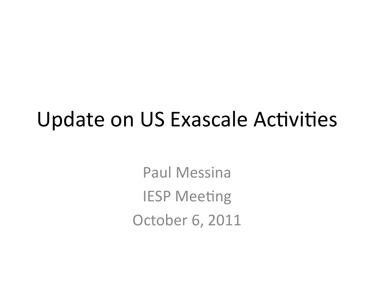#### **Update on US Exascale Activities**

**Paul Messina IESP Meeting** October 6, 2011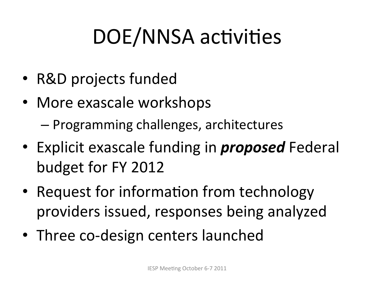## DOE/NNSA activities

- R&D projects funded
- More exascale workshops
	- Programming challenges, architectures
- Explicit exascale funding in *proposed* Federal budget for FY 2012
- Request for information from technology providers issued, responses being analyzed
- Three co-design centers launched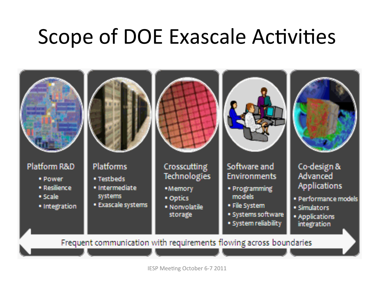#### **Scope of DOE Exascale Activities**



IESP Meeting October 6-7 2011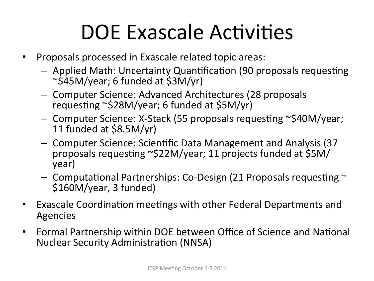## DOE Exascale Activities

- Proposals processed in Exascale related topic areas:
	- $-$  Applied Math: Uncertainty Quantification (90 proposals requesting'  $\sim$ \$45M/year; 6 funded at \$3M/yr)
	- Computer Science: Advanced Architectures (28 proposals) requesting ~\$28M/year; 6 funded at \$5M/yr)
	- Computer Science: X-Stack (55 proposals requesting ~\$40M/year; 11 funded at  $$8.5M/yr$ )
	- Computer Science: Scientific Data Management and Analysis (37) proposals requesting ~\$22M/year; 11 projects funded at \$5M/ year)'
	- $-$  Computational Partnerships: Co-Design (21 Proposals requesting  $\sim$ \$160M/year, 3 funded)
- Exascale Coordination meetings with other Federal Departments and Agencies'
- Formal Partnership within DOE between Office of Science and National Nuclear Security Administration (NNSA)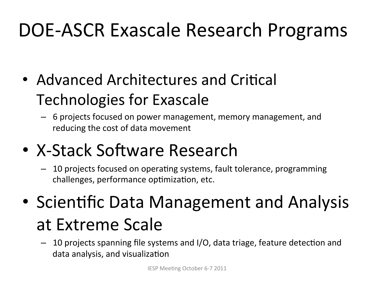#### DOE-ASCR Exascale Research Programs

- Advanced Architectures and Critical Technologies for Exascale
	- $-$  6 projects focused on power management, memory management, and reducing the cost of data movement
- X-Stack Software Research
	- 10 projects focused on operating systems, fault tolerance, programming challenges, performance optimization, etc.
- Scientific Data Management and Analysis at Extreme Scale
	- $-$  10 projects spanning file systems and I/O, data triage, feature detection and data analysis, and visualization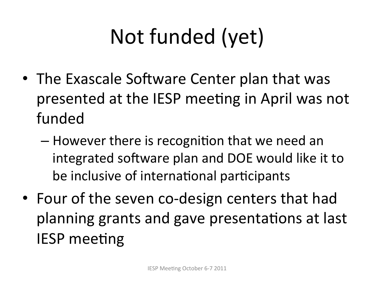# Not funded (yet)

- The Exascale Software Center plan that was presented at the IESP meeting in April was not funded
	- $-$  However there is recognition that we need an integrated software plan and DOE would like it to be inclusive of international participants
- Four of the seven co-design centers that had planning grants and gave presentations at last **IESP** meeting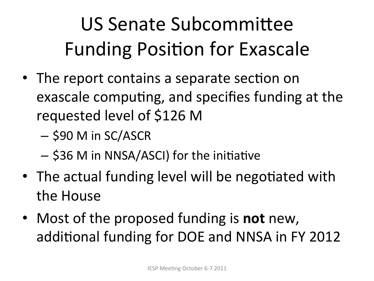## US Senate Subcommittee Funding Position for Exascale

- The report contains a separate section on exascale computing, and specifies funding at the requested level of \$126 M
	- \$90 M in SC/ASCR
	- \$36 M in NNSA/ASCI) for the initiative
- The actual funding level will be negotiated with the House
- Most of the proposed funding is **not** new, additional funding for DOE and NNSA in FY 2012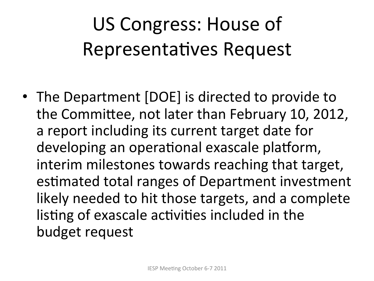## US Congress: House of Representatives Request

• The Department [DOE] is directed to provide to the Committee, not later than February 10, 2012, a report including its current target date for developing an operational exascale platform, interim milestones towards reaching that target, estimated total ranges of Department investment likely needed to hit those targets, and a complete listing of exascale activities included in the budget request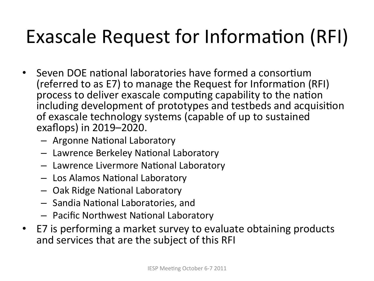#### Exascale Request for Information (RFI)

- Seven DOE national laboratories have formed a consortium (referred to as E7) to manage the Request for Information (RFI) process to deliver exascale computing capability to the nation including development of prototypes and testbeds and acquisition of exascale technology systems (capable of up to sustained exaflops) in 2019–2020.
	- Argonne National Laboratory
	- $-$  Lawrence Berkeley National Laboratory
	- $-$  Lawrence Livermore National Laboratory
	- $-$  Los Alamos National Laboratory
	- $-$  Oak Ridge National Laboratory
	- Sandia National Laboratories, and
	- Pacific Northwest National Laboratory
- E7 is performing a market survey to evaluate obtaining products and services that are the subject of this RFI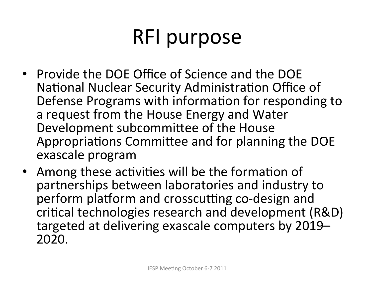## RFI purpose

- Provide the DOE Office of Science and the DOE National Nuclear Security Administration Office of Defense Programs with information for responding to a request from the House Energy and Water Development subcommittee of the House Appropriations Committee and for planning the DOE exascale program
- Among these activities will be the formation of partnerships between laboratories and industry to perform platform and crosscutting co-design and critical technologies research and development (R&D) targeted at delivering exascale computers by 2019– 2020.''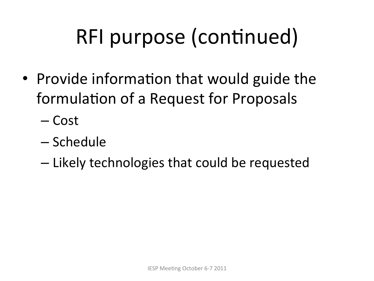## RFI purpose (continued)

- Provide information that would guide the formulation of a Request for Proposals
	- $-Cost$
	- Schedule
	- Likely technologies that could be requested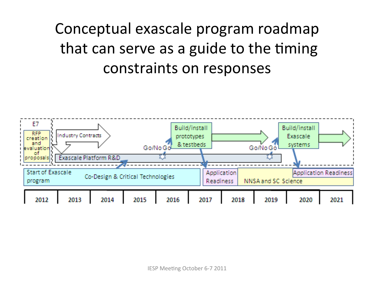#### Conceptual exascale program roadmap that can serve as a guide to the timing constraints on responses

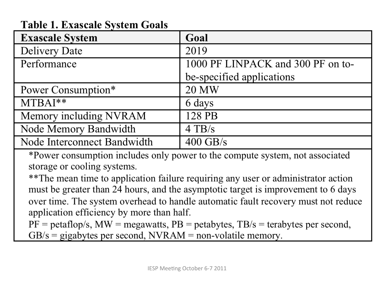| <b>Exascale System</b>      | Goal                              |
|-----------------------------|-----------------------------------|
| <b>Delivery Date</b>        | 2019                              |
| Performance                 | 1000 PF LINPACK and 300 PF on to- |
|                             | be-specified applications         |
| Power Consumption*          | <b>20 MW</b>                      |
| $MTBAI**$                   | 6 days                            |
| Memory including NVRAM      | 128 PB                            |
| Node Memory Bandwidth       | $4$ TB/s                          |
| Node Interconnect Bandwidth | $400$ GB/s                        |

#### **Table 1. Exascale System Goals**

\*Power consumption includes only power to the compute system, not associated storage or cooling systems.

\*\*The mean time to application failure requiring any user or administrator action must be greater than 24 hours, and the asymptotic target is improvement to 6 days over time. The system overhead to handle automatic fault recovery must not reduce application efficiency by more than half.

 $PF = petaflop/s$ ,  $MW = megawatts$ ,  $PB = petabytes$ ,  $TB/s = terabytes$  per second,  $GB/s = gigabytes per second, NVRAM = non-volatile memory.$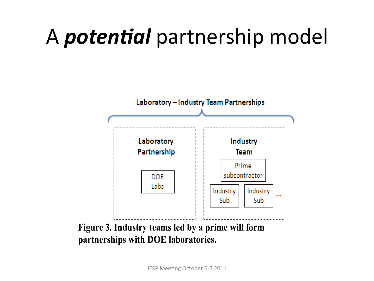## A *potential* partnership model

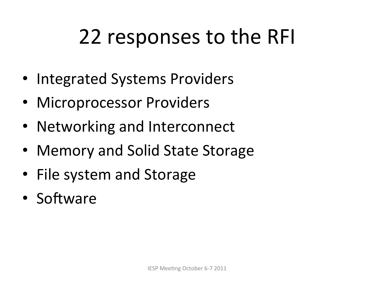## 22 responses to the RFI

- Integrated Systems Providers
- Microprocessor Providers
- Networking and Interconnect
- Memory and Solid State Storage
- File system and Storage
- Software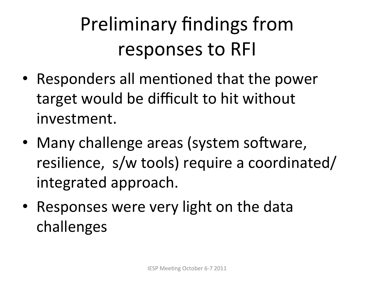## Preliminary findings from responses to RFI

- Responders all mentioned that the power target would be difficult to hit without investment.
- Many challenge areas (system software, resilience, s/w tools) require a coordinated/ integrated approach.
- Responses were very light on the data challenges'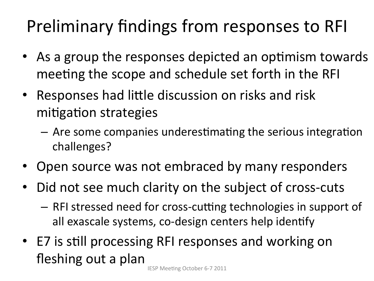#### Preliminary findings from responses to RFI

- As a group the responses depicted an optimism towards meeting the scope and schedule set forth in the RFI
- Responses had little discussion on risks and risk mitigation strategies
	- $-$  Are some companies underestimating the serious integration challenges?'
- Open source was not embraced by many responders
- Did not see much clarity on the subject of cross-cuts
	- RFI stressed need for cross-cutting technologies in support of all exascale systems, co-design centers help identify
- E7 is still processing RFI responses and working on fleshing out a plan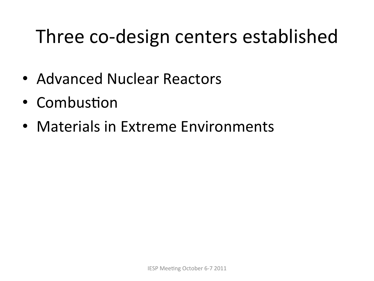#### Three co-design centers established

- Advanced Nuclear Reactors
- Combustion
- Materials in Extreme Environments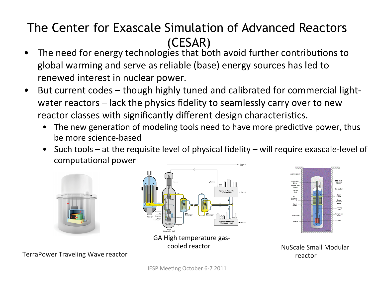#### The Center for Exascale Simulation of Advanced Reactors (CESAR)

- The need for energy technologies that both avoid further contributions to global warming and serve as reliable (base) energy sources has led to renewed interest in nuclear power.
- But current codes though highly tuned and calibrated for commercial lightwater reactors – lack the physics fidelity to seamlessly carry over to new reactor classes with significantly different design characteristics.
	- The new generation of modeling tools need to have more predictive power, thus be more science-based
	- Such tools at the requisite level of physical fidelity will require exascale-level of computational power







NuScale'Small'Modular' reactor'

TerraPower Traveling Wave reactor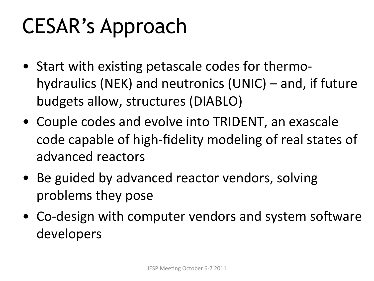## CESAR's Approach

- Start with existing petascale codes for thermohydraulics (NEK) and neutronics (UNIC) – and, if future budgets allow, structures (DIABLO)
- Couple codes and evolve into TRIDENT, an exascale code capable of high-fidelity modeling of real states of advanced reactors
- Be guided by advanced reactor vendors, solving problems they pose
- Co-design with computer vendors and system software developers'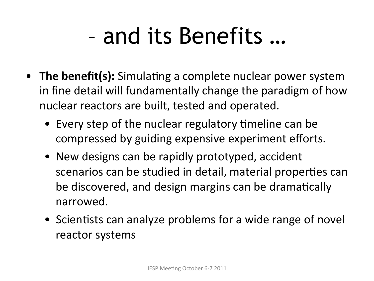# – and its Benefits …

- The benefit(s): Simulating a complete nuclear power system in fine detail will fundamentally change the paradigm of how nuclear reactors are built, tested and operated.
	- Every step of the nuclear regulatory timeline can be compressed by guiding expensive experiment efforts.
	- New designs can be rapidly prototyped, accident scenarios can be studied in detail, material properties can be discovered, and design margins can be dramatically narrowed.
	- Scientists can analyze problems for a wide range of novel reactor systems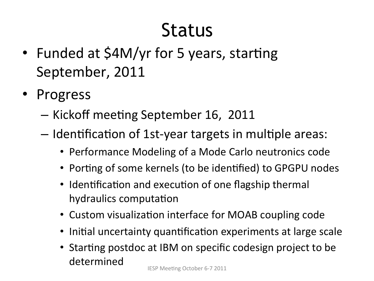#### Status

- Funded at \$4M/yr for 5 years, starting September, 2011
- Progress
	- Kickoff meeting September 16, 2011
	- $-$  Identification of 1st-year targets in multiple areas:
		- Performance Modeling of a Mode Carlo neutronics code
		- Porting of some kernels (to be identified) to GPGPU nodes
		- Identification and execution of one flagship thermal hydraulics computation
		- Custom visualization interface for MOAB coupling code
		- Initial uncertainty quantification experiments at large scale
		- Starting postdoc at IBM on specific codesign project to be determined'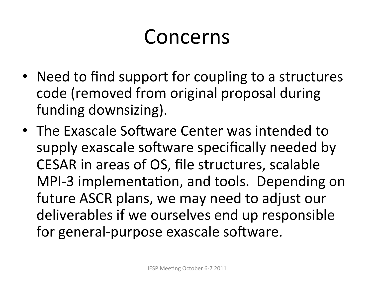#### Concerns'

- Need to find support for coupling to a structures code (removed from original proposal during funding downsizing).
- The Exascale Software Center was intended to supply exascale software specifically needed by CESAR in areas of OS, file structures, scalable MPI-3 implementation, and tools. Depending on future ASCR plans, we may need to adjust our deliverables if we ourselves end up responsible for general-purpose exascale software.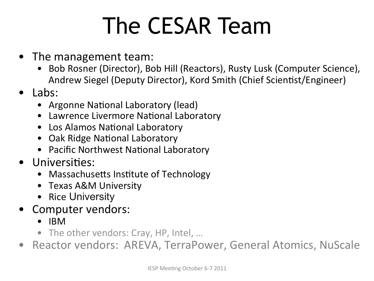# The CESAR Team

- The management team:
	- Bob Rosner (Director), Bob Hill (Reactors), Rusty Lusk (Computer Science), Andrew Siegel (Deputy Director), Kord Smith (Chief Scientist/Engineer)
- Labs:
	- Argonne National Laboratory (lead)
	- Lawrence Livermore National Laboratory
	- Los Alamos National Laboratory
	- Oak Ridge National Laboratory
	- Pacific Northwest National Laboratory
- Universities:
	- Massachusetts Institute of Technology
	- Texas A&M University
	- Rice University
- Computer vendors:
	- $\bullet$  IBM
	- The other vendors: Cray, HP, Intel, ...
- Reactor vendors: AREVA, TerraPower, General Atomics, NuScale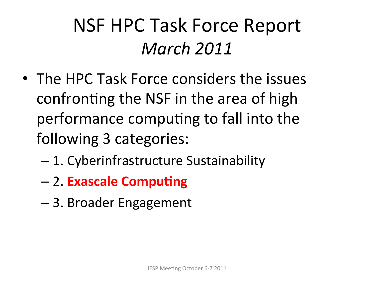#### NSF HPC Task Force Report *March&2011*

- The HPC Task Force considers the issues confronting the NSF in the area of high performance computing to fall into the following 3 categories:
	- $-1.$  Cyberinfrastructure Sustainability
	- 2.'**Exascale'Compu7ng'**
	- 3. Broader Engagement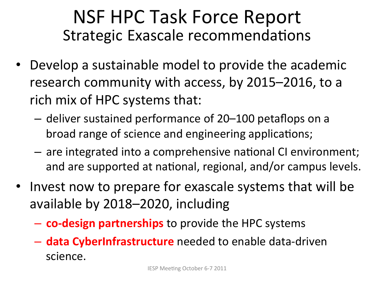#### NSF HPC Task Force Report Strategic Exascale recommendations

- Develop a sustainable model to provide the academic research community with access, by 2015–2016, to a rich mix of HPC systems that:
	- $-$  deliver sustained performance of 20–100 petaflops on a broad range of science and engineering applications;
	- are integrated into a comprehensive national CI environment; and are supported at national, regional, and/or campus levels.
- Invest now to prepare for exascale systems that will be available by 2018–2020, including
	- $-$  **co-design partnerships** to provide the HPC systems
	- $-$  **data CyberInfrastructure** needed to enable data-driven science.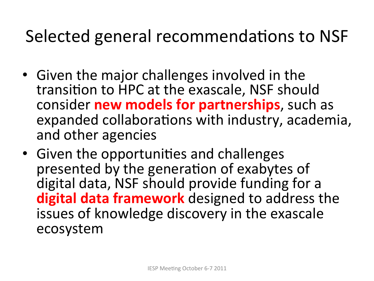#### Selected general recommendations to NSF

- Given the major challenges involved in the transition to HPC at the exascale, NSF should consider **new models for partnerships**, such as expanded collaborations with industry, academia, and other agencies
- Given the opportunities and challenges presented by the generation of exabytes of digital data, NSF should provide funding for a **digital data framework** designed to address the issues of knowledge discovery in the exascale ecosystem''